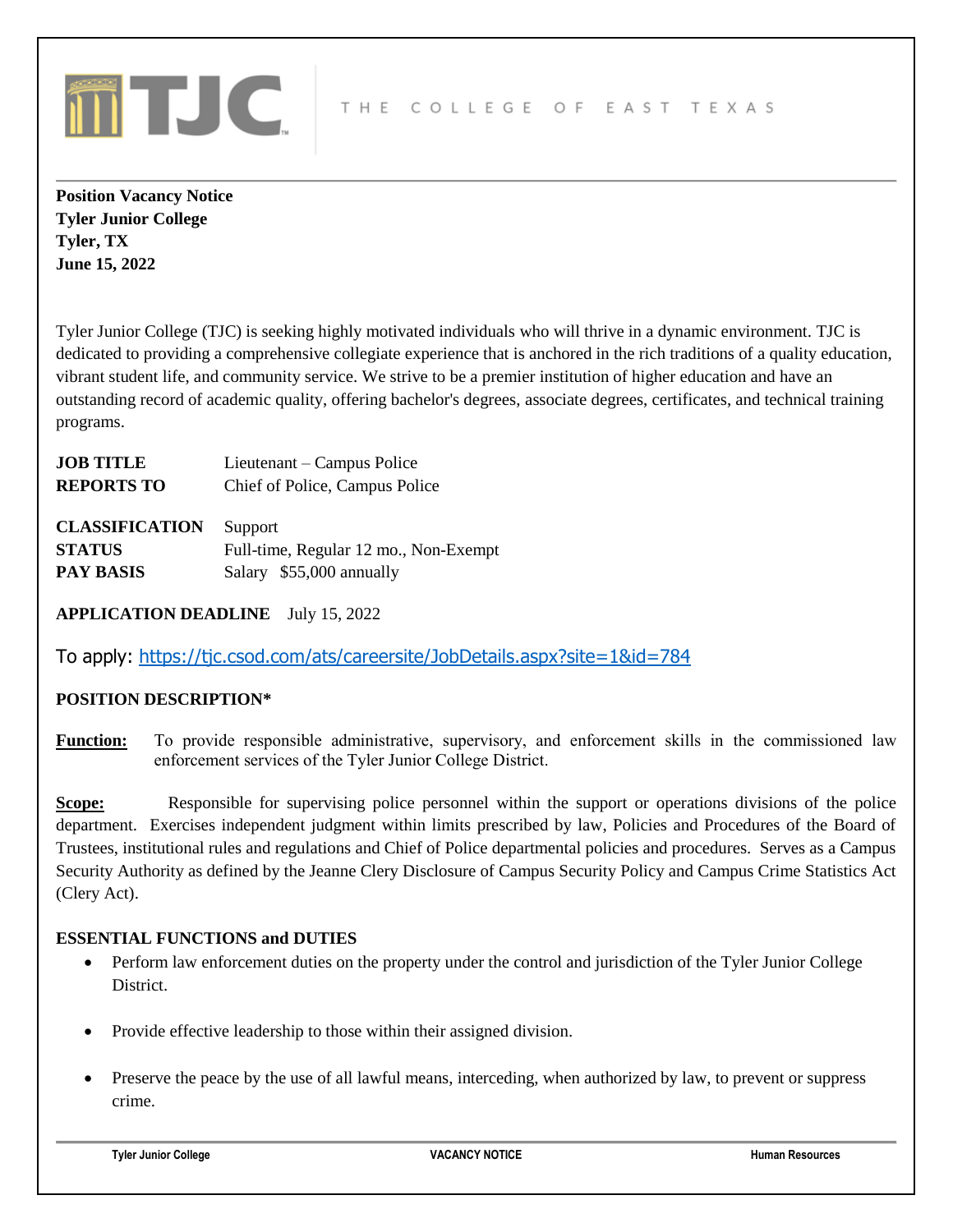

**Position Vacancy Notice Tyler Junior College Tyler, TX June 15, 2022**

Tyler Junior College (TJC) is seeking highly motivated individuals who will thrive in a dynamic environment. TJC is dedicated to providing a comprehensive collegiate experience that is anchored in the rich traditions of a quality education, vibrant student life, and community service. We strive to be a premier institution of higher education and have an outstanding record of academic quality, offering bachelor's degrees, associate degrees, certificates, and technical training programs.

| <b>JOB TITLE</b>  | Lieutenant – Campus Police     |
|-------------------|--------------------------------|
| <b>REPORTS TO</b> | Chief of Police, Campus Police |
|                   |                                |

**CLASSIFICATION** Support **STATUS** Full-time, Regular 12 mo., Non-Exempt **PAY BASIS** Salary \$55,000 annually

**APPLICATION DEADLINE** July 15, 2022

To apply:<https://tjc.csod.com/ats/careersite/JobDetails.aspx?site=1&id=784>

# **POSITION DESCRIPTION\***

**Function:** To provide responsible administrative, supervisory, and enforcement skills in the commissioned law enforcement services of the Tyler Junior College District.

**Scope:** Responsible for supervising police personnel within the support or operations divisions of the police department. Exercises independent judgment within limits prescribed by law, Policies and Procedures of the Board of Trustees, institutional rules and regulations and Chief of Police departmental policies and procedures. Serves as a Campus Security Authority as defined by the Jeanne Clery Disclosure of Campus Security Policy and Campus Crime Statistics Act (Clery Act).

# **ESSENTIAL FUNCTIONS and DUTIES**

- Perform law enforcement duties on the property under the control and jurisdiction of the Tyler Junior College District.
- Provide effective leadership to those within their assigned division.
- Preserve the peace by the use of all lawful means, interceding, when authorized by law, to prevent or suppress crime.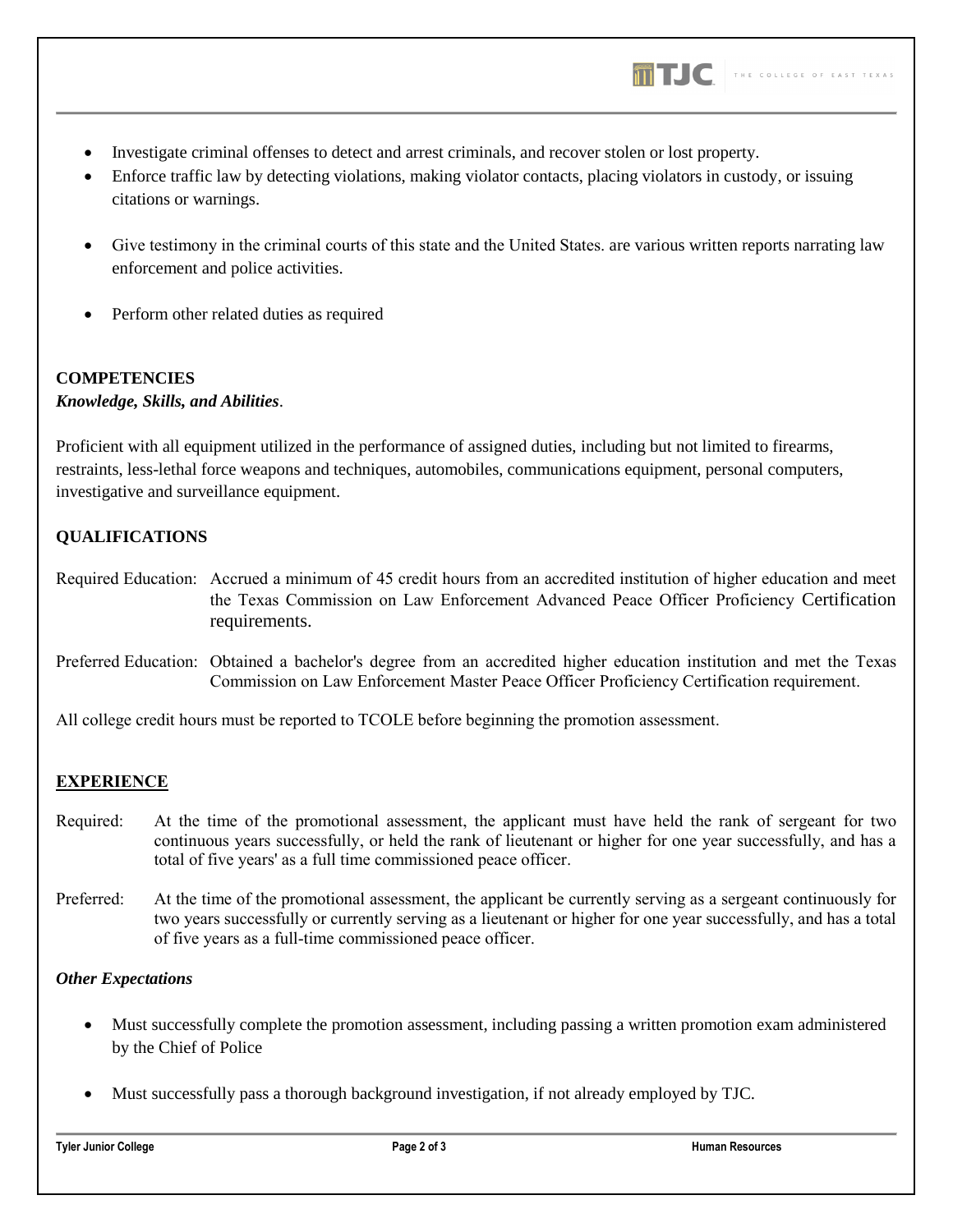

- Investigate criminal offenses to detect and arrest criminals, and recover stolen or lost property.
- Enforce traffic law by detecting violations, making violator contacts, placing violators in custody, or issuing citations or warnings.
- Give testimony in the criminal courts of this state and the United States. are various written reports narrating law enforcement and police activities.
- Perform other related duties as required

#### **COMPETENCIES**

## *Knowledge, Skills, and Abilities*.

Proficient with all equipment utilized in the performance of assigned duties, including but not limited to firearms, restraints, less-lethal force weapons and techniques, automobiles, communications equipment, personal computers, investigative and surveillance equipment.

## **QUALIFICATIONS**

- Required Education: Accrued a minimum of 45 credit hours from an accredited institution of higher education and meet the Texas Commission on Law Enforcement Advanced Peace Officer Proficiency Certification requirements.
- Preferred Education: Obtained a bachelor's degree from an accredited higher education institution and met the Texas Commission on Law Enforcement Master Peace Officer Proficiency Certification requirement.

All college credit hours must be reported to TCOLE before beginning the promotion assessment.

## **EXPERIENCE**

- Required: At the time of the promotional assessment, the applicant must have held the rank of sergeant for two continuous years successfully, or held the rank of lieutenant or higher for one year successfully, and has a total of five years' as a full time commissioned peace officer.
- Preferred: At the time of the promotional assessment, the applicant be currently serving as a sergeant continuously for two years successfully or currently serving as a lieutenant or higher for one year successfully, and has a total of five years as a full-time commissioned peace officer.

### *Other Expectations*

- Must successfully complete the promotion assessment, including passing a written promotion exam administered by the Chief of Police
- Must successfully pass a thorough background investigation, if not already employed by TJC.

**Tyler Junior College Page 2 of 3 Human Resources**